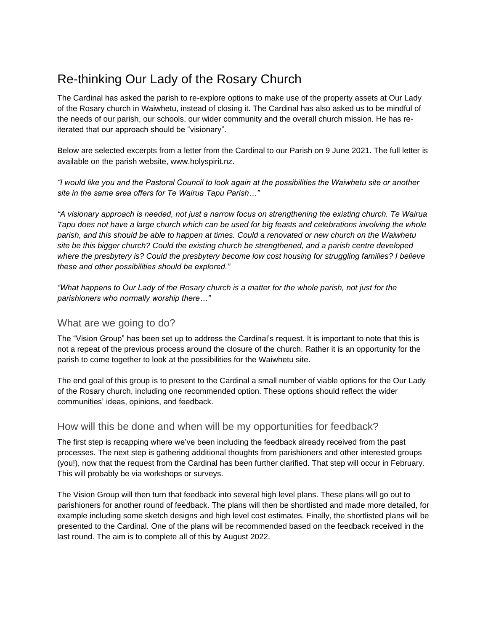# Re-thinking Our Lady of the Rosary Church

The Cardinal has asked the parish to re-explore options to make use of the property assets at Our Lady of the Rosary church in Waiwhetu, instead of closing it. The Cardinal has also asked us to be mindful of the needs of our parish, our schools, our wider community and the overall church mission. He has reiterated that our approach should be "visionary".

Below are selected excerpts from a letter from the Cardinal to our Parish on 9 June 2021. The full letter is available on the parish website, www.holyspirit.nz.

*"I would like you and the Pastoral Council to look again at the possibilities the Waiwhetu site or another site in the same area offers for Te Wairua Tapu Parish…"*

*"A visionary approach is needed, not just a narrow focus on strengthening the existing church. Te Wairua Tapu does not have a large church which can be used for big feasts and celebrations involving the whole parish, and this should be able to happen at times. Could a renovated or new church on the Waiwhetu site be this bigger church? Could the existing church be strengthened, and a parish centre developed where the presbytery is? Could the presbytery become low cost housing for struggling families? I believe these and other possibilities should be explored."*

*"What happens to Our Lady of the Rosary church is a matter for the whole parish, not just for the parishioners who normally worship there…"*

### What are we going to do?

The "Vision Group" has been set up to address the Cardinal's request. It is important to note that this is not a repeat of the previous process around the closure of the church. Rather it is an opportunity for the parish to come together to look at the possibilities for the Waiwhetu site.

The end goal of this group is to present to the Cardinal a small number of viable options for the Our Lady of the Rosary church, including one recommended option. These options should reflect the wider communities' ideas, opinions, and feedback.

### How will this be done and when will be my opportunities for feedback?

The first step is recapping where we've been including the feedback already received from the past processes. The next step is gathering additional thoughts from parishioners and other interested groups (you!), now that the request from the Cardinal has been further clarified. That step will occur in February. This will probably be via workshops or surveys.

The Vision Group will then turn that feedback into several high level plans. These plans will go out to parishioners for another round of feedback. The plans will then be shortlisted and made more detailed, for example including some sketch designs and high level cost estimates. Finally, the shortlisted plans will be presented to the Cardinal. One of the plans will be recommended based on the feedback received in the last round. The aim is to complete all of this by August 2022.